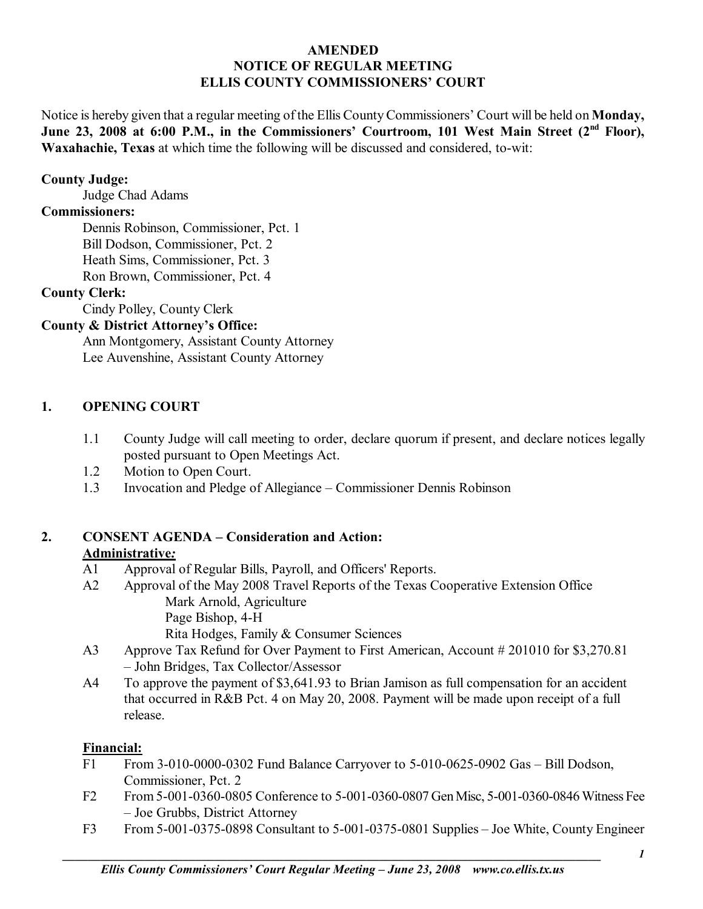### **AMENDED NOTICE OF REGULAR MEETING ELLIS COUNTY COMMISSIONERS' COURT**

Notice is hereby given that a regular meeting of the Ellis County Commissioners' Court will be held on **Monday**, June 23, 2008 at 6:00 P.M., in the Commissioners' Courtroom, 101 West Main Street (2<sup>nd</sup> Floor), **Waxahachie, Texas** at which time the following will be discussed and considered, to-wit:

### **County Judge:**

Judge Chad Adams

### **Commissioners:**

 Dennis Robinson, Commissioner, Pct. 1 Bill Dodson, Commissioner, Pct. 2 Heath Sims, Commissioner, Pct. 3 Ron Brown, Commissioner, Pct. 4

#### **County Clerk:**

Cindy Polley, County Clerk

## **County & District Attorney's Office:**

 Ann Montgomery, Assistant County Attorney Lee Auvenshine, Assistant County Attorney

### **1. OPENING COURT**

- 1.1 County Judge will call meeting to order, declare quorum if present, and declare notices legally posted pursuant to Open Meetings Act.
- 1.2 Motion to Open Court.
- 1.3 Invocation and Pledge of Allegiance Commissioner Dennis Robinson

### **2. CONSENT AGENDA – Consideration and Action: Administrative***:*

- A1 Approval of Regular Bills, Payroll, and Officers' Reports.
- A2 Approval of the May 2008 Travel Reports of the Texas Cooperative Extension Office Mark Arnold, Agriculture

Page Bishop, 4-H

Rita Hodges, Family & Consumer Sciences

- A3 Approve Tax Refund for Over Payment to First American, Account # 201010 for \$3,270.81 – John Bridges, Tax Collector/Assessor
- A4 To approve the payment of \$3,641.93 to Brian Jamison as full compensation for an accident that occurred in R&B Pct. 4 on May 20, 2008. Payment will be made upon receipt of a full release.

## **Financial:**

- F1 From 3-010-0000-0302 Fund Balance Carryover to  $5-010-0625-0902$  Gas  $-$  Bill Dodson, Commissioner, Pct. 2
- F2 From 5-001-0360-0805 Conference to 5-001-0360-0807 Gen Misc, 5-001-0360-0846 Witness Fee – Joe Grubbs, District Attorney
- F3 From 5-001-0375-0898 Consultant to  $5-001-0375-0801$  Supplies  $-$  Joe White, County Engineer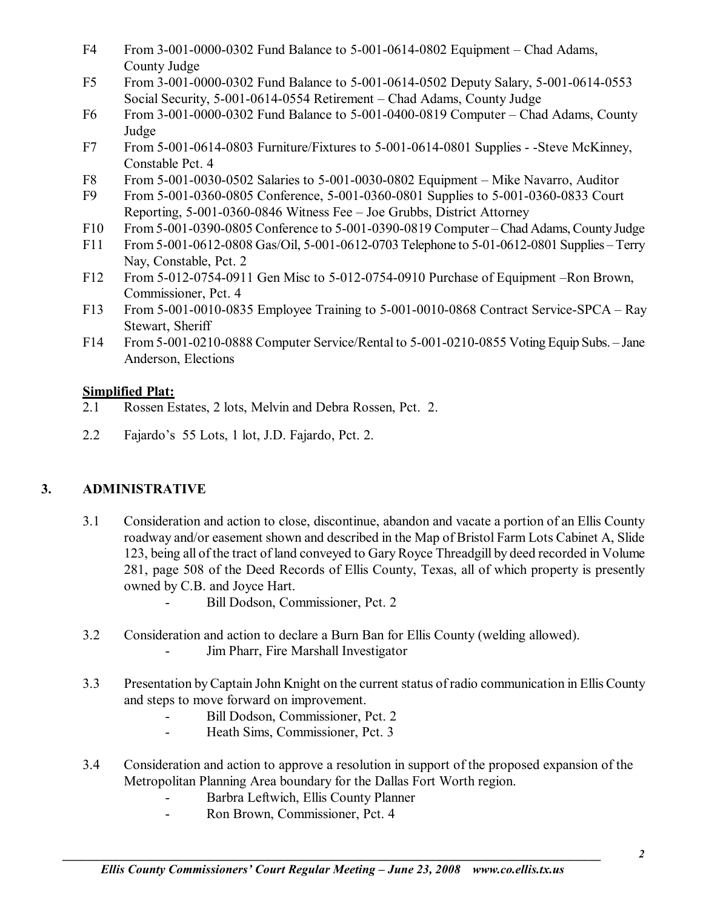- F4 From 3-001-0000-0302 Fund Balance to  $5-001-0614-0802$  Equipment Chad Adams, County Judge
- F5 From 3-001-0000-0302 Fund Balance to 5-001-0614-0502 Deputy Salary, 5-001-0614-0553 Social Security, 5-001-0614-0554 Retirement – Chad Adams, County Judge
- F6 From 3-001-0000-0302 Fund Balance to  $5-001-0400-0819$  Computer Chad Adams, County Judge
- F7 From 5-001-0614-0803 Furniture/Fixtures to 5-001-0614-0801 Supplies -Steve McKinney, Constable Pct. 4
- F8 From 5-001-0030-0502 Salaries to 5-001-0030-0802 Equipment Mike Navarro, Auditor
- F9 From 5-001-0360-0805 Conference, 5-001-0360-0801 Supplies to 5-001-0360-0833 Court Reporting,  $5-001-0360-0846$  Witness Fee  $-$  Joe Grubbs, District Attorney
- F10 From 5-001-0390-0805 Conference to 5-001-0390-0819 Computer Chad Adams, County Judge
- F11 From 5-001-0612-0808 Gas/Oil, 5-001-0612-0703 Telephone to 5-01-0612-0801 Supplies Terry Nay, Constable, Pct. 2
- F12 From 5-012-0754-0911 Gen Misc to  $5-012-0754-0910$  Purchase of Equipment –Ron Brown, Commissioner, Pct. 4
- F13 From 5-001-0010-0835 Employee Training to  $5-001-0010-0868$  Contract Service-SPCA Ray Stewart, Sheriff
- F14 From 5-001-0210-0888 Computer Service/Rental to  $5-001-0210-0855$  Voting Equip Subs.  $-$  Jane Anderson, Elections

## **Simplified Plat:**

- 2.1 Rossen Estates, 2 lots, Melvin and Debra Rossen, Pct. 2.
- 2.2 Fajardo's 55 Lots, 1 lot, J.D. Fajardo, Pct. 2.

# **3. ADMINISTRATIVE**

- 3.1 Consideration and action to close, discontinue, abandon and vacate a portion of an Ellis County roadway and/or easement shown and described in the Map of Bristol Farm Lots Cabinet A, Slide 123, being all of the tract of land conveyed to Gary Royce Threadgill by deed recorded in Volume 281, page 508 of the Deed Records of Ellis County, Texas, all of which property is presently owned by C.B. and Joyce Hart.
	- Bill Dodson, Commissioner, Pct. 2
- 3.2 Consideration and action to declare a Burn Ban for Ellis County (welding allowed). - Jim Pharr, Fire Marshall Investigator
- 3.3 Presentation by Captain John Knight on the current status of radio communication in Ellis County and steps to move forward on improvement.
	- Bill Dodson, Commissioner, Pct. 2
	- Heath Sims, Commissioner, Pct. 3
- 3.4 Consideration and action to approve a resolution in support of the proposed expansion of the Metropolitan Planning Area boundary for the Dallas Fort Worth region.
	- Barbra Leftwich, Ellis County Planner
	- Ron Brown, Commissioner, Pct. 4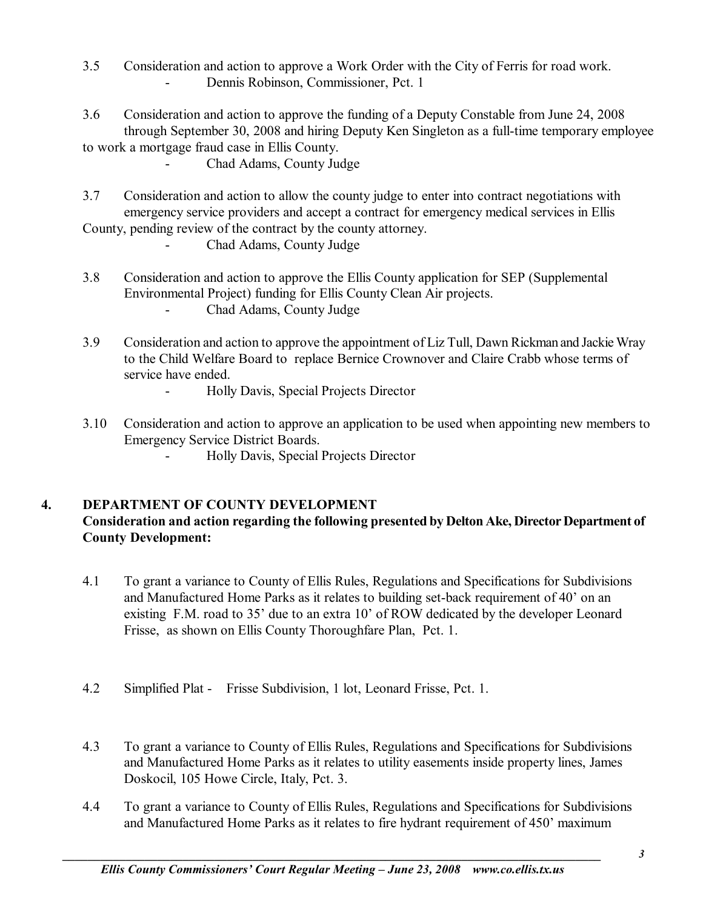- 3.5 Consideration and action to approve a Work Order with the City of Ferris for road work. Dennis Robinson, Commissioner, Pct. 1
- 3.6 Consideration and action to approve the funding of a Deputy Constable from June 24, 2008 through September 30, 2008 and hiring Deputy Ken Singleton as a full-time temporary employee

to work a mortgage fraud case in Ellis County.

- Chad Adams, County Judge
- 3.7 Consideration and action to allow the county judge to enter into contract negotiations with emergency service providers and accept a contract for emergency medical services in Ellis County, pending review of the contract by the county attorney.
	- Chad Adams, County Judge
- 3.8 Consideration and action to approve the Ellis County application for SEP (Supplemental Environmental Project) funding for Ellis County Clean Air projects.
	- Chad Adams, County Judge
- 3.9 Consideration and action to approve the appointment of Liz Tull, Dawn Rickman and Jackie Wray to the Child Welfare Board to replace Bernice Crownover and Claire Crabb whose terms of service have ended.
	- Holly Davis, Special Projects Director
- 3.10 Consideration and action to approve an application to be used when appointing new members to Emergency Service District Boards.
	- Holly Davis, Special Projects Director

## **4. DEPARTMENT OF COUNTY DEVELOPMENT**

## **Consideration and action regarding the following presented by Delton Ake, Director Department of County Development:**

- 4.1 To grant a variance to County of Ellis Rules, Regulations and Specifications for Subdivisions and Manufactured Home Parks as it relates to building set-back requirement of 40' on an existing F.M. road to  $35'$  due to an extra 10' of ROW dedicated by the developer Leonard Frisse, as shown on Ellis County Thoroughfare Plan, Pct. 1.
- 4.2 Simplified Plat Frisse Subdivision, 1 lot, Leonard Frisse, Pct. 1.
- 4.3 To grant a variance to County of Ellis Rules, Regulations and Specifications for Subdivisions and Manufactured Home Parks as it relates to utility easements inside property lines, James Doskocil, 105 Howe Circle, Italy, Pct. 3.
- 4.4 To grant a variance to County of Ellis Rules, Regulations and Specifications for Subdivisions and Manufactured Home Parks as it relates to fire hydrant requirement of 450' maximum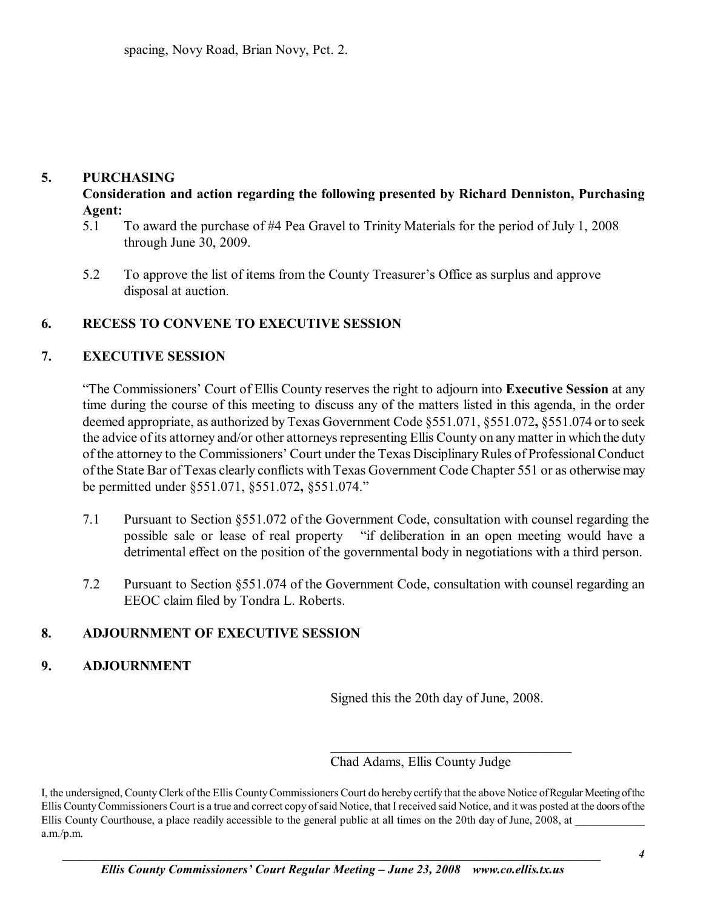### **5. PURCHASING**

**Consideration and action regarding the following presented by Richard Denniston, Purchasing Agent:** 

- 5.1 To award the purchase of #4 Pea Gravel to Trinity Materials for the period of July 1, 2008 through June 30, 2009.
- 5.2 To approve the list of items from the County Treasurer's Office as surplus and approve disposal at auction.

### **6. RECESS TO CONVENE TO EXECUTIVE SESSION**

### **7. EXECUTIVE SESSION**

**The Commissioners' Court of Ellis County reserves the right to adjourn into Executive Session** at any time during the course of this meeting to discuss any of the matters listed in this agenda, in the order deemed appropriate, as authorized by Texas Government Code ß551.071, ß551.072**,** ß551.074 or to seek the advice of its attorney and/or other attorneys representing Ellis County on any matter in which the duty of the attorney to the Commissioners' Court under the Texas Disciplinary Rules of Professional Conduct of the State Bar of Texas clearly conflicts with Texas Government Code Chapter 551 or as otherwise may be permitted under ß551.071, ß551.072**,** ß551.074.î

- 7.1 Pursuant to Section ß551.072 of the Government Code, consultation with counsel regarding the possible sale or lease of real property "if deliberation in an open meeting would have a detrimental effect on the position of the governmental body in negotiations with a third person.
- 7.2 Pursuant to Section ß551.074 of the Government Code, consultation with counsel regarding an EEOC claim filed by Tondra L. Roberts.

### **8. ADJOURNMENT OF EXECUTIVE SESSION**

### **9. ADJOURNMENT**

Signed this the 20th day of June, 2008.

 $\mathcal{L}_\text{max}$ 

Chad Adams, Ellis County Judge

I, the undersigned, County Clerk of the Ellis County Commissioners Court do hereby certify that the above Notice of Regular Meeting of the Ellis County Commissioners Court is a true and correct copy of said Notice, that I received said Notice, and it was posted at the doors of the Ellis County Courthouse, a place readily accessible to the general public at all times on the 20th day of June, 2008, at a.m./p.m.